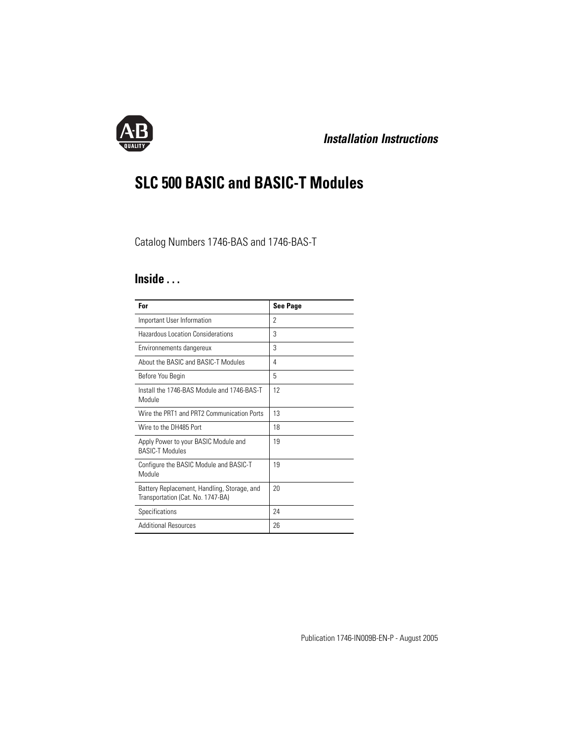

# *Installation Instructions*

# **SLC 500 BASIC and BASIC-T Modules**

# Catalog Numbers 1746-BAS and 1746-BAS-T

# **Inside . . .**

| For                                                                              | <b>See Page</b> |
|----------------------------------------------------------------------------------|-----------------|
| Important User Information                                                       | 2               |
| Hazardous Location Considerations                                                | 3               |
| Environnements dangereux                                                         | 3               |
| About the BASIC and BASIC-T Modules                                              | 4               |
| Before You Begin                                                                 | 5               |
| Install the 1746-BAS Module and 1746-BAS-T<br>Module                             | 12              |
| Wire the PRT1 and PRT2 Communication Ports                                       | 13              |
| Wire to the DH485 Port                                                           | 18              |
| Apply Power to your BASIC Module and<br><b>BASIC-T Modules</b>                   | 19              |
| Configure the BASIC Module and BASIC-T<br>Module                                 | 19              |
| Battery Replacement, Handling, Storage, and<br>Transportation (Cat. No. 1747-BA) | 20              |
| Specifications                                                                   | 24              |
| <b>Additional Resources</b>                                                      | 26              |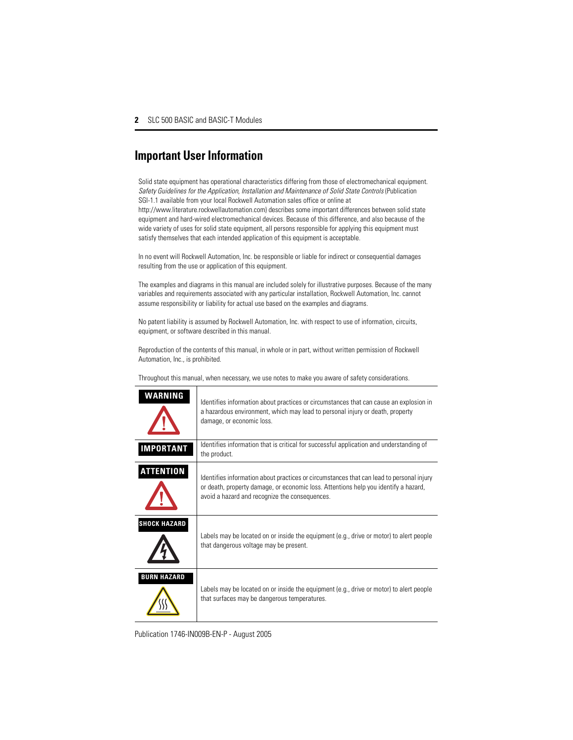# <span id="page-1-0"></span>**Important User Information**

Solid state equipment has operational characteristics differing from those of electromechanical equipment. *Safety Guidelines for the Application, Installation and Maintenance of Solid State Controls* (Publication SGI-1.1 available from your local Rockwell Automation sales office or online at http://www.literature.rockwellautomation.com) describes some important differences between solid state equipment and hard-wired electromechanical devices. Because of this difference, and also because of the wide variety of uses for solid state equipment, all persons responsible for applying this equipment must satisfy themselves that each intended application of this equipment is acceptable.

In no event will Rockwell Automation, Inc. be responsible or liable for indirect or consequential damages resulting from the use or application of this equipment.

The examples and diagrams in this manual are included solely for illustrative purposes. Because of the many variables and requirements associated with any particular installation, Rockwell Automation, Inc. cannot assume responsibility or liability for actual use based on the examples and diagrams.

No patent liability is assumed by Rockwell Automation, Inc. with respect to use of information, circuits, equipment, or software described in this manual.

Reproduction of the contents of this manual, in whole or in part, without written permission of Rockwell Automation, Inc., is prohibited.

Throughout this manual, when necessary, we use notes to make you aware of safety considerations.

| WARNING             | Identifies information about practices or circumstances that can cause an explosion in<br>a hazardous environment, which may lead to personal injury or death, property<br>damage, or economic loss.                              |
|---------------------|-----------------------------------------------------------------------------------------------------------------------------------------------------------------------------------------------------------------------------------|
| <b>IMPORTANT</b>    | Identifies information that is critical for successful application and understanding of<br>the product.                                                                                                                           |
| <b>ATTENTION</b>    | Identifies information about practices or circumstances that can lead to personal injury<br>or death, property damage, or economic loss. Attentions help you identify a hazard,<br>avoid a hazard and recognize the consequences. |
| <b>SHOCK HAZARD</b> | Labels may be located on or inside the equipment (e.g., drive or motor) to alert people<br>that dangerous voltage may be present.                                                                                                 |
| <b>BURN HAZARD</b>  | Labels may be located on or inside the equipment (e.g., drive or motor) to alert people<br>that surfaces may be dangerous temperatures.                                                                                           |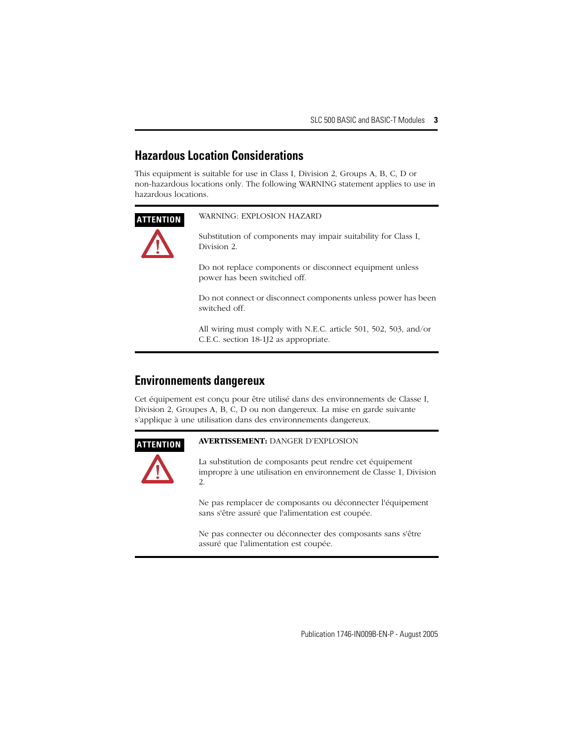# <span id="page-2-0"></span>**Hazardous Location Considerations**

This equipment is suitable for use in Class I, Division 2, Groups A, B, C, D or non-hazardous locations only. The following WARNING statement applies to use in hazardous locations.

## **ATTENTION** WARNING: EXPLOSION HAZARD

Substitution of components may impair suitability for Class I, Division 2.

Do not replace components or disconnect equipment unless power has been switched off.

Do not connect or disconnect components unless power has been switched off.

All wiring must comply with N.E.C. article 501, 502, 503, and/or C.E.C. section 18-1J2 as appropriate.

# <span id="page-2-1"></span>**Environnements dangereux**

Cet équipement est conçu pour être utilisé dans des environnements de Classe I, Division 2, Groupes A, B, C, D ou non dangereux. La mise en garde suivante s'applique à une utilisation dans des environnements dangereux.



## **ATTENTION AVERTISSEMENT:** DANGER D'EXPLOSION

La substitution de composants peut rendre cet équipement impropre à une utilisation en environnement de Classe 1, Division 2.

Ne pas remplacer de composants ou déconnecter l'équipement sans s'être assuré que l'alimentation est coupée.

Ne pas connecter ou déconnecter des composants sans s'être assuré que l'alimentation est coupée.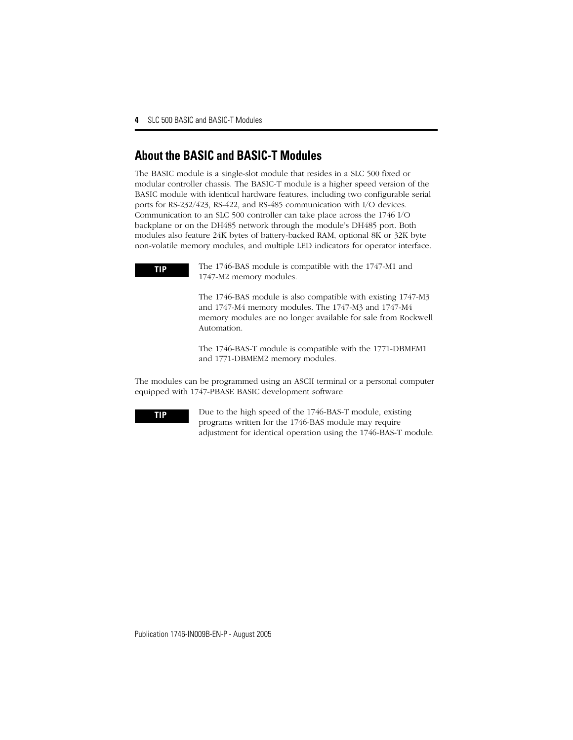# <span id="page-3-0"></span>**About the BASIC and BASIC-T Modules**

The BASIC module is a single-slot module that resides in a SLC 500 fixed or modular controller chassis. The BASIC-T module is a higher speed version of the BASIC module with identical hardware features, including two configurable serial ports for RS-232/423, RS-422, and RS-485 communication with I/O devices. Communication to an SLC 500 controller can take place across the 1746 I/O backplane or on the DH485 network through the module's DH485 port. Both modules also feature 24K bytes of battery-backed RAM, optional 8K or 32K byte non-volatile memory modules, and multiple LED indicators for operator interface.

**TIP** The 1746-BAS module is compatible with the 1747-M1 and 1747-M2 memory modules.

> The 1746-BAS module is also compatible with existing 1747-M3 and 1747-M4 memory modules. The 1747-M3 and 1747-M4 memory modules are no longer available for sale from Rockwell Automation.

The 1746-BAS-T module is compatible with the 1771-DBMEM1 and 1771-DBMEM2 memory modules.

The modules can be programmed using an ASCII terminal or a personal computer equipped with 1747-PBASE BASIC development software

**TIP** Due to the high speed of the 1746-BAS-T module, existing programs written for the 1746-BAS module may require adjustment for identical operation using the 1746-BAS-T module.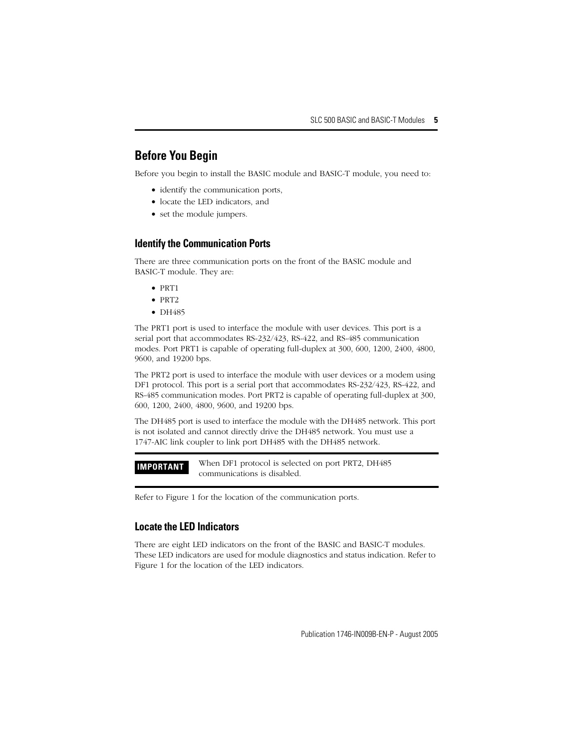# <span id="page-4-0"></span>**Before You Begin**

Before you begin to install the BASIC module and BASIC-T module, you need to:

- identify the communication ports,
- locate the LED indicators, and
- set the module jumpers.

## **Identify the Communication Ports**

There are three communication ports on the front of the BASIC module and BASIC-T module. They are:

- PRT1
- PRT2
- DH485

The PRT1 port is used to interface the module with user devices. This port is a serial port that accommodates RS-232/423, RS-422, and RS-485 communication modes. Port PRT1 is capable of operating full-duplex at 300, 600, 1200, 2400, 4800, 9600, and 19200 bps.

The PRT2 port is used to interface the module with user devices or a modem using DF1 protocol. This port is a serial port that accommodates RS-232/423, RS-422, and RS-485 communication modes. Port PRT2 is capable of operating full-duplex at 300, 600, 1200, 2400, 4800, 9600, and 19200 bps.

The DH485 port is used to interface the module with the DH485 network. This port is not isolated and cannot directly drive the DH485 network. You must use a 1747-AIC link coupler to link port DH485 with the DH485 network.

**IMPORTANT** When DF1 protocol is selected on port PRT2, DH485 communications is disabled.

Refer to [Figure 1](#page-5-0) for the location of the communication ports.

## **Locate the LED Indicators**

There are eight LED indicators on the front of the BASIC and BASIC-T modules. These LED indicators are used for module diagnostics and status indication. Refer to [Figure 1](#page-5-0) for the location of the LED indicators.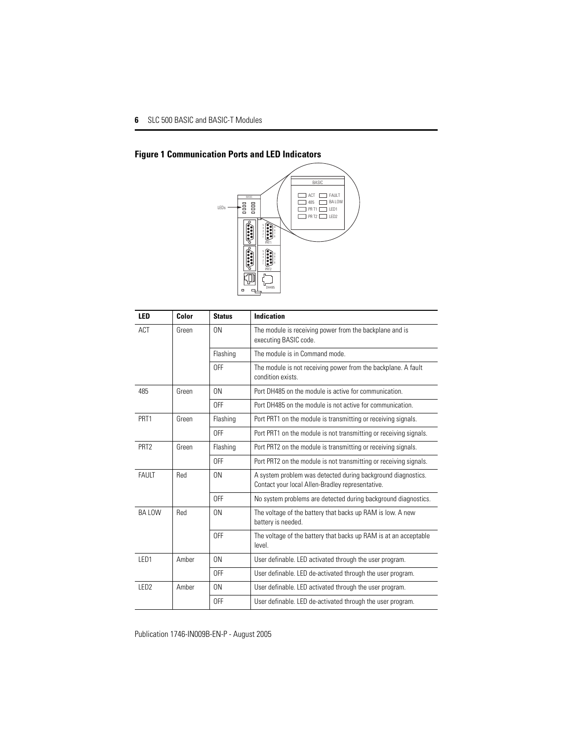

# <span id="page-5-0"></span>**Figure 1 Communication Ports and LED Indicators**

| LED              | Color | <b>Status</b> | <b>Indication</b>                                                                                                |
|------------------|-------|---------------|------------------------------------------------------------------------------------------------------------------|
| ACT              | Green | ON            | The module is receiving power from the backplane and is<br>executing BASIC code.                                 |
|                  |       | Flashing      | The module is in Command mode.                                                                                   |
|                  |       | 0FF           | The module is not receiving power from the backplane. A fault<br>condition exists.                               |
| 485              | Green | 0N            | Port DH485 on the module is active for communication.                                                            |
|                  |       | 0FF           | Port DH485 on the module is not active for communication.                                                        |
| PRT <sub>1</sub> | Green | Flashing      | Port PRT1 on the module is transmitting or receiving signals.                                                    |
|                  |       | <b>OFF</b>    | Port PRT1 on the module is not transmitting or receiving signals.                                                |
| PRT <sub>2</sub> | Green | Flashing      | Port PRT2 on the module is transmitting or receiving signals.                                                    |
|                  |       | 0FF           | Port PRT2 on the module is not transmitting or receiving signals.                                                |
| FAULT            | Red   | 0N            | A system problem was detected during background diagnostics.<br>Contact your local Allen-Bradley representative. |
|                  |       | 0FF           | No system problems are detected during background diagnostics.                                                   |
| BA LOW           | Red   | 0N            | The voltage of the battery that backs up RAM is low. A new<br>battery is needed.                                 |
|                  |       | 0FF           | The voltage of the battery that backs up RAM is at an acceptable<br>level                                        |
| LED <sub>1</sub> | Amber | 0N            | User definable. LED activated through the user program.                                                          |
|                  |       | 0FF           | User definable. LED de-activated through the user program.                                                       |
| LED <sub>2</sub> | Amber | ON            | User definable. LED activated through the user program.                                                          |
|                  |       | OFF           | User definable. LED de-activated through the user program.                                                       |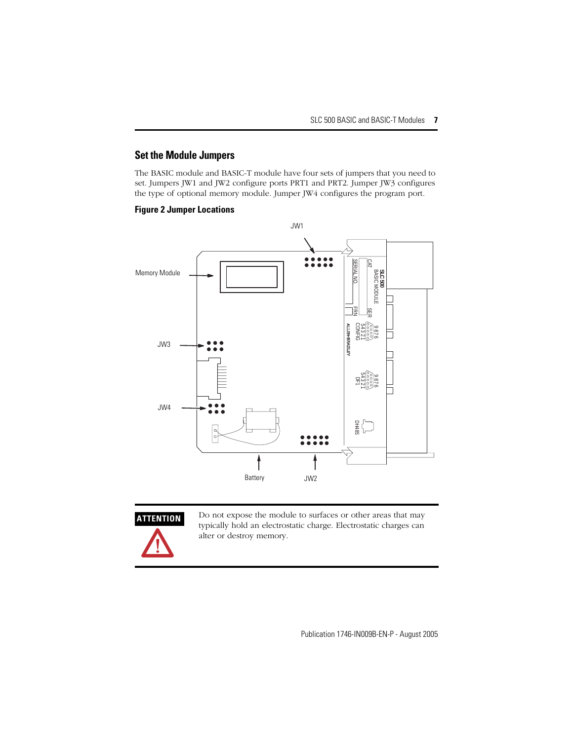## **Set the Module Jumpers**

The BASIC module and BASIC-T module have four sets of jumpers that you need to set. Jumpers JW1 and JW2 configure ports PRT1 and PRT2. Jumper JW3 configures the type of optional memory module. Jumper JW4 configures the program port.

### **Figure 2 Jumper Locations**





**ATTENTION** Do not expose the module to surfaces or other areas that may typically hold an electrostatic charge. Electrostatic charges can alter or destroy memory.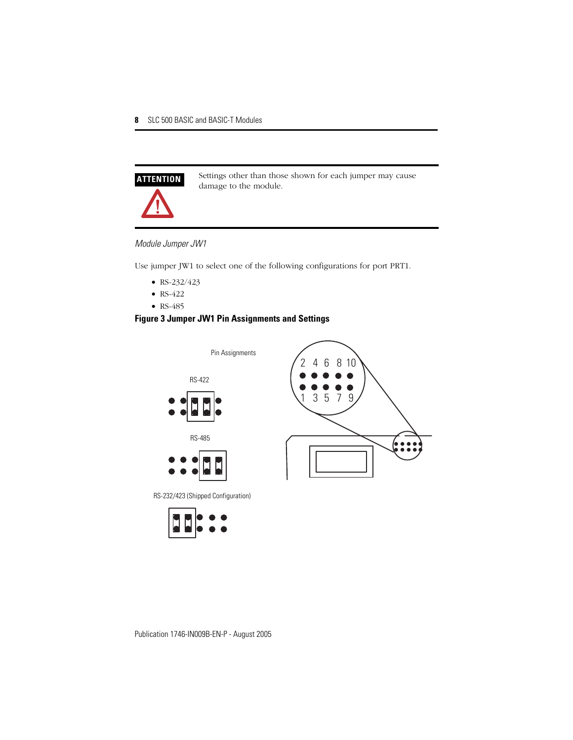

**ATTENTION** Settings other than those shown for each jumper may cause damage to the module.

### *Module Jumper JW1*

Use jumper JW1 to select one of the following configurations for port PRT1.

- $RS-232/423$
- RS-422
- RS-485

## **Figure 3 Jumper JW1 Pin Assignments and Settings**



RS-232/423 (Shipped Configuration)

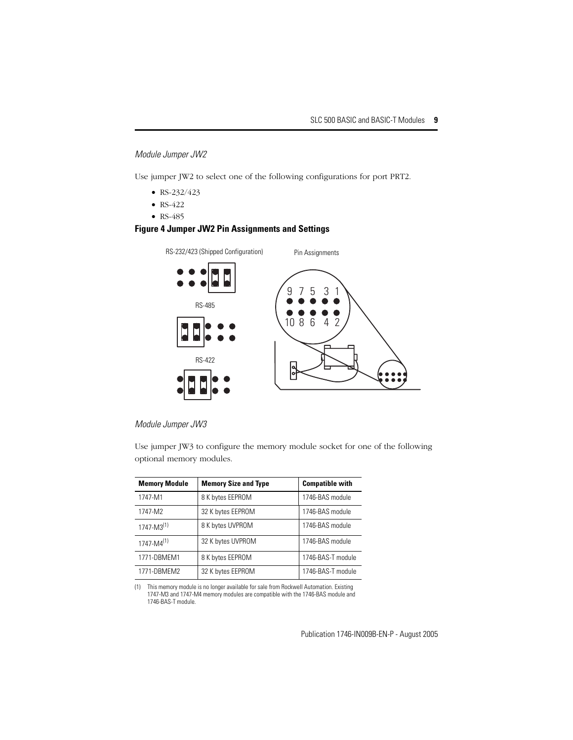*Module Jumper JW2*

Use jumper JW2 to select one of the following configurations for port PRT2.

- RS-232/423
- RS-422
- RS-485

### **Figure 4 Jumper JW2 Pin Assignments and Settings**

RS-232/423 (Shipped Configuration) Pin Assignments



### *Module Jumper JW3*

Use jumper JW3 to configure the memory module socket for one of the following optional memory modules.

| <b>Memory Module</b> | <b>Memory Size and Type</b> | <b>Compatible with</b> |
|----------------------|-----------------------------|------------------------|
| 1747-M1              | 8 K bytes EEPROM            | 1746-BAS module        |
| 1747-M2              | 32 K bytes EEPROM           | 1746-BAS module        |
| $1747 - M3^{(1)}$    | 8 K bytes UVPROM            | 1746-BAS module        |
| $1747 - M4^{(1)}$    | 32 K bytes UVPROM           | 1746-BAS module        |
| 1771-DBMEM1          | 8 K bytes EEPROM            | 1746-BAS-T module      |
| 1771-DBMEM2          | 32 K bytes EEPROM           | 1746-BAS-T module      |

<span id="page-8-0"></span>(1) This memory module is no longer available for sale from Rockwell Automation. Existing 1747-M3 and 1747-M4 memory modules are compatible with the 1746-BAS module and 1746-BAS-T module.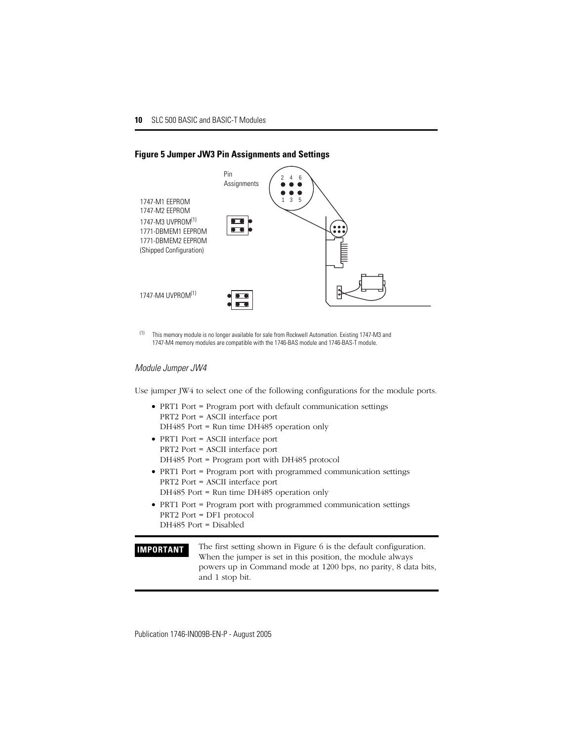

### **Figure 5 Jumper JW3 Pin Assignments and Settings**

(1) This memory module is no longer available for sale from Rockwell Automation. Existing 1747-M3 and 1747-M4 memory modules are compatible with the 1746-BAS module and 1746-BAS-T module.

### *Module Jumper JW4*

Use jumper JW4 to select one of the following configurations for the module ports.

- PRT1 Port = Program port with default communication settings PRT2 Port = ASCII interface port DH485 Port = Run time DH485 operation only
- PRT1 Port = ASCII interface port PRT2 Port = ASCII interface port DH485 Port = Program port with DH485 protocol
- PRT1 Port = Program port with programmed communication settings PRT2 Port = ASCII interface port DH485 Port = Run time DH485 operation only
- PRT1 Port = Program port with programmed communication settings PRT2 Port = DF1 protocol DH485 Port = Disabled

**IMPORTANT** The first setting shown in [Figure 6](#page-10-0) is the default configuration. When the jumper is set in this position, the module always powers up in Command mode at 1200 bps, no parity, 8 data bits, and 1 stop bit.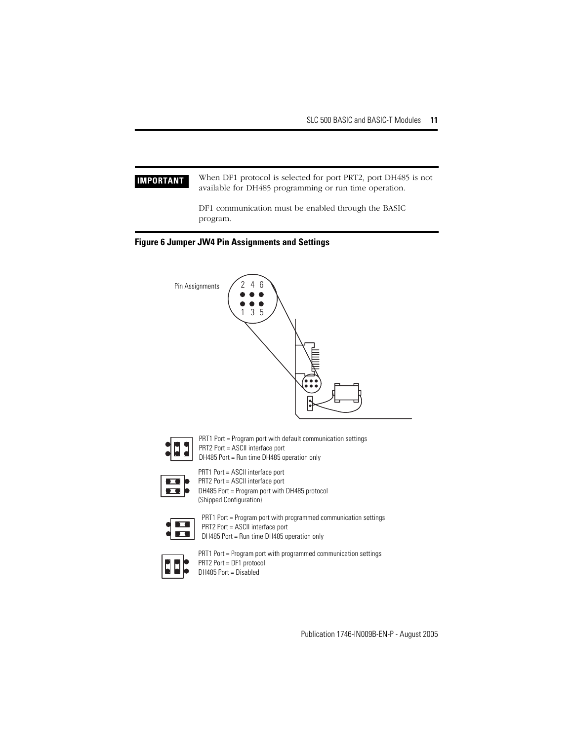**IMPORTANT** When DF1 protocol is selected for port PRT2, port DH485 is not available for DH485 programming or run time operation.

> DF1 communication must be enabled through the BASIC program.

### <span id="page-10-0"></span>**Figure 6 Jumper JW4 Pin Assignments and Settings**





PRT1 Port = Program port with default communication settings PRT2 Port = ASCII interface port DH485 Port = Run time DH485 operation only

PRT1 Port = ASCII interface port

PRT2 Port = ASCII interface port

DH485 Port = Program port with DH485 protocol (Shipped Configuration)

$$
\left\{ \frac{\Box}{\Box a} \right\}
$$

PRT1 Port = Program port with programmed communication settings PRT2 Port = ASCII interface port DH485 Port = Run time DH485 operation only



PRT1 Port = Program port with programmed communication settings PRT2 Port = DF1 protocol DH485 Port = Disabled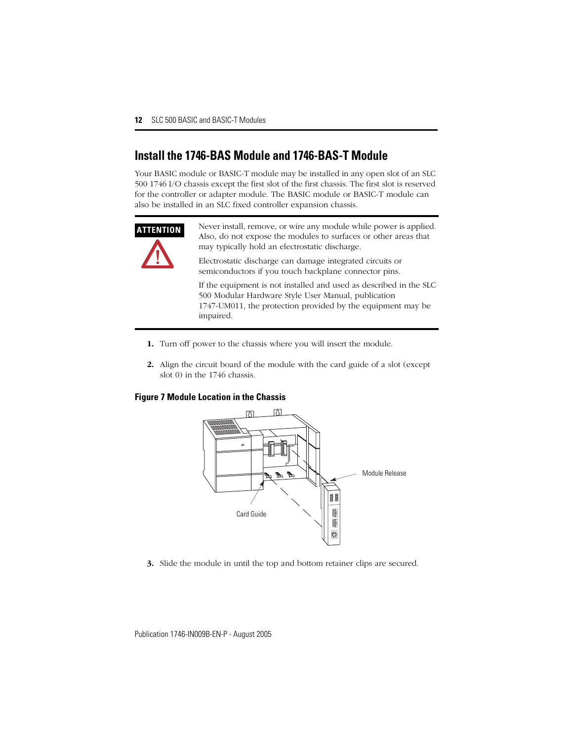# <span id="page-11-0"></span>**Install the 1746-BAS Module and 1746-BAS-T Module**

Your BASIC module or BASIC-T module may be installed in any open slot of an SLC 500 1746 I/O chassis except the first slot of the first chassis. The first slot is reserved for the controller or adapter module. The BASIC module or BASIC-T module can also be installed in an SLC fixed controller expansion chassis.



**ATTENTION** Never install, remove, or wire any module while power is applied. Also, do not expose the modules to surfaces or other areas that may typically hold an electrostatic discharge.

> Electrostatic discharge can damage integrated circuits or semiconductors if you touch backplane connector pins.

If the equipment is not installed and used as described in the SLC 500 Modular Hardware Style User Manual, publication 1747-UM011, the protection provided by the equipment may be impaired.

- **1.** Turn off power to the chassis where you will insert the module.
- **2.** Align the circuit board of the module with the card guide of a slot (except slot 0) in the 1746 chassis.

### **Figure 7 Module Location in the Chassis**



**3.** Slide the module in until the top and bottom retainer clips are secured.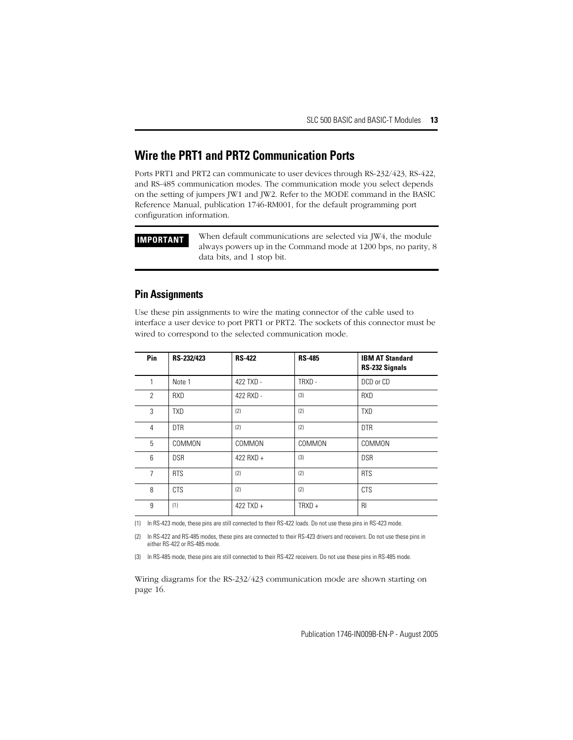# <span id="page-12-0"></span>**Wire the PRT1 and PRT2 Communication Ports**

Ports PRT1 and PRT2 can communicate to user devices through RS-232/423, RS-422, and RS-485 communication modes. The communication mode you select depends on the setting of jumpers JW1 and JW2. Refer to the MODE command in the BASIC Reference Manual, publication 1746-RM001, for the default programming port configuration information.

**IMPORTANT** When default communications are selected via JW4, the module always powers up in the Command mode at 1200 bps, no parity, 8 data bits, and 1 stop bit.

## **Pin Assignments**

Use these pin assignments to wire the mating connector of the cable used to interface a user device to port PRT1 or PRT2. The sockets of this connector must be wired to correspond to the selected communication mode.

| Pin            | RS-232/423 | <b>RS-422</b> | <b>RS-485</b> | <b>IBM AT Standard</b><br>RS-232 Signals |
|----------------|------------|---------------|---------------|------------------------------------------|
| 1              | Note 1     | 422 TXD -     | TRXD-         | DCD or CD                                |
| $\overline{2}$ | <b>RXD</b> | 422 RXD -     | (3)           | <b>RXD</b>                               |
| 3              | <b>TXD</b> | (2)           | (2)           | <b>TXD</b>                               |
| 4              | <b>DTR</b> | (2)           | (2)           | <b>DTR</b>                               |
| 5              | COMMON     | COMMON        | COMMON        | COMMON                                   |
| 6              | <b>DSR</b> | $422$ RXD +   | (3)           | <b>DSR</b>                               |
| $\overline{7}$ | <b>RTS</b> | (2)           | (2)           | <b>RTS</b>                               |
| 8              | <b>CTS</b> | (2)           | (2)           | <b>CTS</b>                               |
| 9              | (1)        | 422 TXD $+$   | $TRXD +$      | R <sub>l</sub>                           |

(1) In RS-423 mode, these pins are still connected to their RS-422 loads. Do not use these pins in RS-423 mode.

<span id="page-12-1"></span>(2) In RS-422 and RS-485 modes, these pins are connected to their RS-423 drivers and receivers. Do not use these pins in either RS-422 or RS-485 mode.

<span id="page-12-2"></span>(3) In RS-485 mode, these pins are still connected to their RS-422 receivers. Do not use these pins in RS-485 mode.

Wiring diagrams for the RS-232/423 communication mode are shown starting on page [16.](#page-15-0)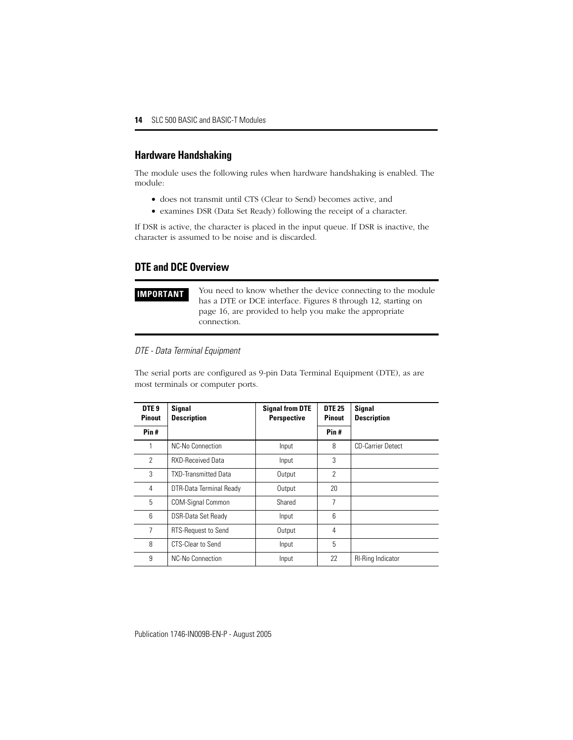## **Hardware Handshaking**

The module uses the following rules when hardware handshaking is enabled. The module:

- does not transmit until CTS (Clear to Send) becomes active, and
- examines DSR (Data Set Ready) following the receipt of a character.

If DSR is active, the character is placed in the input queue. If DSR is inactive, the character is assumed to be noise and is discarded.

### **DTE and DCE Overview**

**IMPORTANT** You need to know whether the device connecting to the module has a DTE or DCE interface. Figures 8 through 12, starting on page [16](#page-15-0), are provided to help you make the appropriate connection.

### *DTE - Data Terminal Equipment*

The serial ports are configured as 9-pin Data Terminal Equipment (DTE), as are most terminals or computer ports.

| DTE <sub>9</sub><br><b>Pinout</b> | <b>Signal</b><br><b>Description</b> | <b>Signal from DTE</b><br><b>Perspective</b> | <b>DTE 25</b><br><b>Pinout</b> | <b>Signal</b><br><b>Description</b> |
|-----------------------------------|-------------------------------------|----------------------------------------------|--------------------------------|-------------------------------------|
| Pin#                              |                                     |                                              | Pin#                           |                                     |
| 1                                 | NC-No Connection                    | Input                                        | 8                              | <b>CD-Carrier Detect</b>            |
| 2                                 | <b>RXD-Received Data</b>            | Input                                        | 3                              |                                     |
| 3                                 | <b>TXD-Transmitted Data</b>         | Output                                       | $\overline{2}$                 |                                     |
| 4                                 | DTR-Data Terminal Ready             | Output                                       | 20                             |                                     |
| 5                                 | <b>COM-Signal Common</b>            | Shared                                       | 7                              |                                     |
| 6                                 | <b>DSR-Data Set Ready</b>           | Input                                        | 6                              |                                     |
| 7                                 | <b>RTS-Request to Send</b>          | Output                                       | 4                              |                                     |
| 8                                 | CTS-Clear to Send                   | Input                                        | 5                              |                                     |
| 9                                 | NC-No Connection                    | Input                                        | 22                             | <b>RI-Ring Indicator</b>            |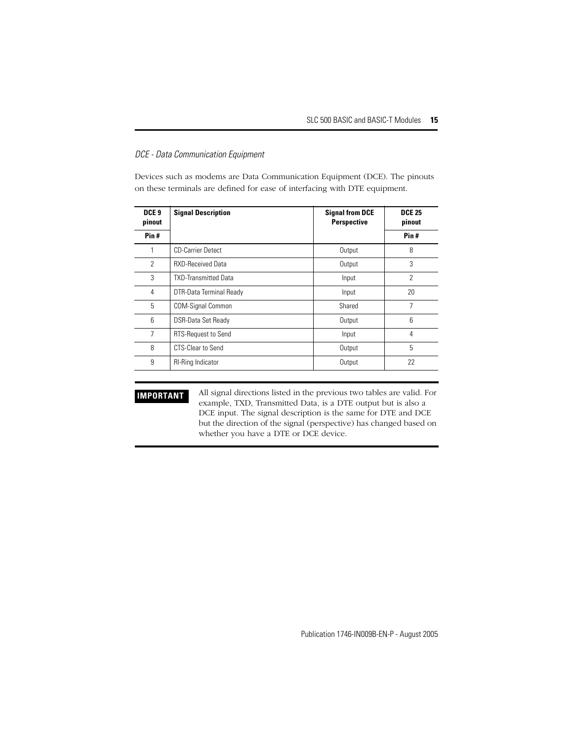### *DCE - Data Communication Equipment*

Devices such as modems are Data Communication Equipment (DCE). The pinouts on these terminals are defined for ease of interfacing with DTE equipment.

| DCE <sub>9</sub><br>pinout | <b>Signal Description</b>      | <b>Signal from DCE</b><br><b>Perspective</b> | <b>DCE 25</b><br>pinout |
|----------------------------|--------------------------------|----------------------------------------------|-------------------------|
| Pin#                       |                                |                                              | Pin#                    |
|                            | <b>CD-Carrier Detect</b>       | Output                                       | 8                       |
| $\overline{2}$             | <b>RXD-Received Data</b>       | Output                                       | 3                       |
| 3                          | <b>TXD-Transmitted Data</b>    | Input                                        | $\overline{2}$          |
| 4                          | <b>DTR-Data Terminal Ready</b> | Input                                        | 20                      |
| 5                          | <b>COM-Signal Common</b>       | Shared                                       | 7                       |
| 6                          | <b>DSR-Data Set Ready</b>      | Output                                       | 6                       |
| 7                          | RTS-Request to Send            | Input                                        | 4                       |
| 8                          | <b>CTS-Clear to Send</b>       | Output                                       | 5                       |
| 9                          | <b>RI-Ring Indicator</b>       | Output                                       | 22                      |

**IMPORTANT** All signal directions listed in the previous two tables are valid. For example, TXD, Transmitted Data, is a DTE output but is also a DCE input. The signal description is the same for DTE and DCE but the direction of the signal (perspective) has changed based on whether you have a DTE or DCE device.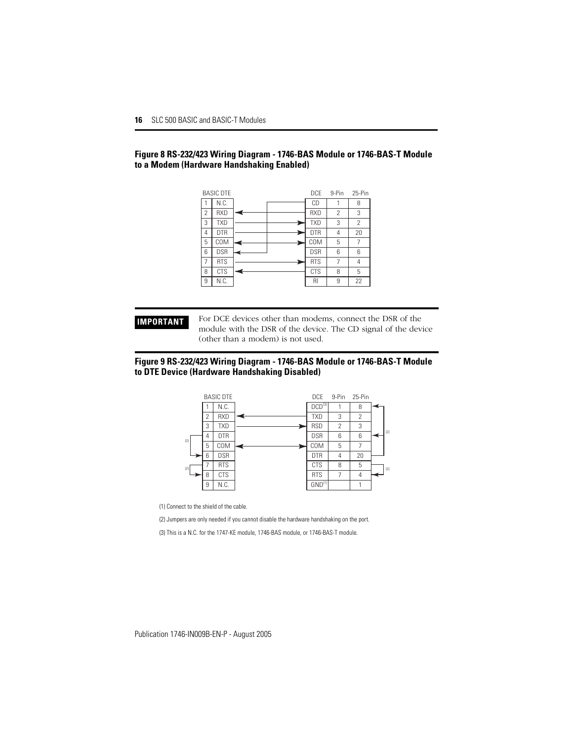### <span id="page-15-0"></span>**Figure 8 RS-232/423 Wiring Diagram - 1746-BAS Module or 1746-BAS-T Module to a Modem (Hardware Handshaking Enabled)**

|                | <b>BASIC DTE</b> | <b>DCE</b> | 9-Pin | 25-Pin |
|----------------|------------------|------------|-------|--------|
|                | N.C.             | CD         |       | 8      |
| $\overline{2}$ | <b>RXD</b>       | <b>RXD</b> | 2     | 3      |
| 3              | <b>TXD</b>       | <b>TXD</b> | 3     | 2      |
| 4              | <b>DTR</b>       | <b>DTR</b> | 4     | 20     |
| 5              | COM              | COM        | 5     | 7      |
| 6              | <b>DSR</b>       | <b>DSR</b> | 6     | 6      |
| $\overline{7}$ | <b>RTS</b>       | <b>RTS</b> | 7     | 4      |
| 8              | <b>CTS</b>       | <b>CTS</b> | 8     | 5      |
| 9              | N.C.             | RI         | 9     | 22     |

**IMPORTANT** For DCE devices other than modems, connect the DSR of the module with the DSR of the device. The CD signal of the device (other than a modem) is not used.

### **Figure 9 RS-232/423 Wiring Diagram - 1746-BAS Module or 1746-BAS-T Module to DTE Device (Hardware Handshaking Disabled)**



(1) Connect to the shield of the cable.

(2) Jumpers are only needed if you cannot disable the hardware handshaking on the port.

(3) This is a N.C. for the 1747-KE module, 1746-BAS module, or 1746-BAS-T module.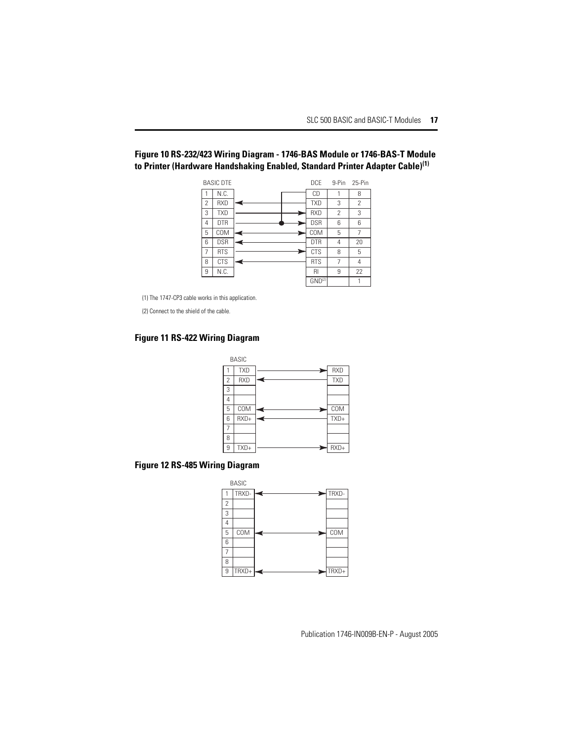## **Figure 10 RS-232/423 Wiring Diagram - 1746-BAS Module or 1746-BAS-T Module to Printer (Hardware Handshaking Enabled, Standard Printer Adapter Cable)(1)**

|   | <b>BASIC DTF</b> | DCF                | 9-Pin | 25-Pin |
|---|------------------|--------------------|-------|--------|
|   | N.C.             | CD                 |       | 8      |
| 2 | <b>RXD</b>       | <b>TXD</b>         | 3     | 2      |
| 3 | <b>TXD</b>       | <b>RXD</b>         | 2     | 3      |
| 4 | <b>DTR</b>       | <b>DSR</b>         | 6     | 6      |
| 5 | COM              | COM                | 5     | 7      |
| 6 | <b>DSR</b>       | <b>DTR</b>         | 4     | 20     |
| 7 | <b>RTS</b>       | <b>CTS</b>         | 8     | 5      |
| 8 | <b>CTS</b>       | <b>RTS</b>         | 7     | 4      |
| 9 | N.C.             | RI                 | 9     | 22     |
|   |                  | GND <sup>(2)</sup> |       |        |

(1) The 1747-CP3 cable works in this application.

(2) Connect to the shield of the cable.

### **Figure 11 RS-422 Wiring Diagram**



## **Figure 12 RS-485 Wiring Diagram**

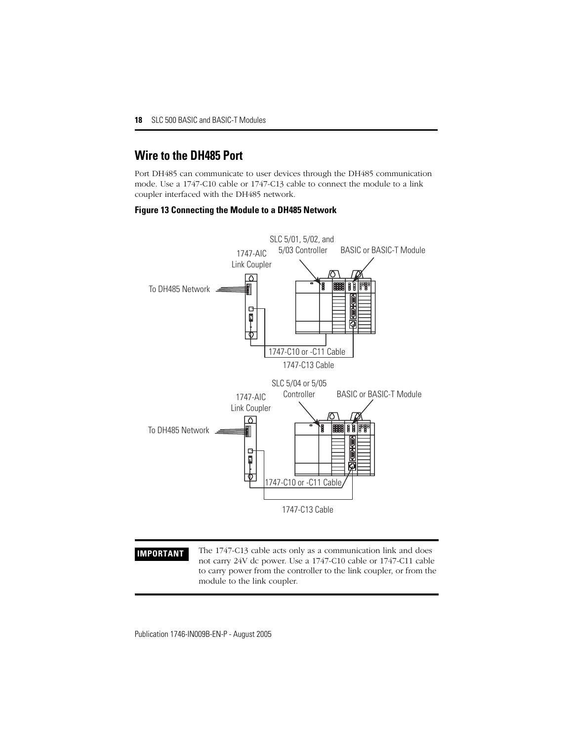# <span id="page-17-0"></span>**Wire to the DH485 Port**

Port DH485 can communicate to user devices through the DH485 communication mode. Use a 1747-C10 cable or 1747-C13 cable to connect the module to a link coupler interfaced with the DH485 network.

### **Figure 13 Connecting the Module to a DH485 Network**



**IMPORTANT** The 1747-C13 cable acts only as a communication link and does not carry 24V dc power. Use a 1747-C10 cable or 1747-C11 cable to carry power from the controller to the link coupler, or from the module to the link coupler.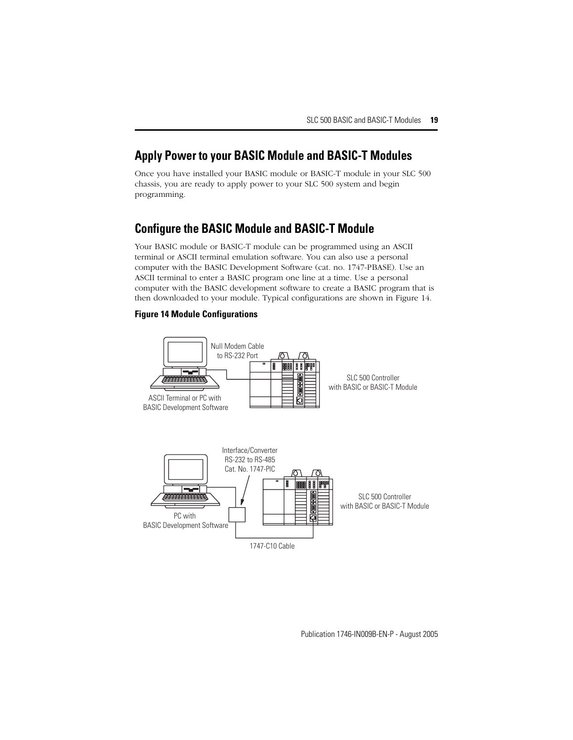# <span id="page-18-0"></span>**Apply Power to your BASIC Module and BASIC-T Modules**

Once you have installed your BASIC module or BASIC-T module in your SLC 500 chassis, you are ready to apply power to your SLC 500 system and begin programming.

# <span id="page-18-1"></span>**Configure the BASIC Module and BASIC-T Module**

Your BASIC module or BASIC-T module can be programmed using an ASCII terminal or ASCII terminal emulation software. You can also use a personal computer with the BASIC Development Software (cat. no. 1747-PBASE). Use an ASCII terminal to enter a BASIC program one line at a time. Use a personal computer with the BASIC development software to create a BASIC program that is then downloaded to your module. Typical configurations are shown in [Figure 14](#page-18-2).

### <span id="page-18-2"></span>**Figure 14 Module Configurations**

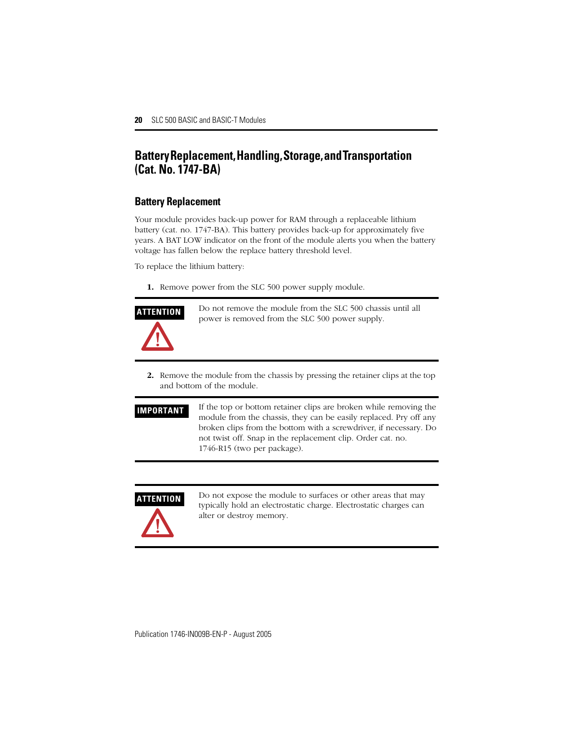# <span id="page-19-0"></span>**Battery Replacement, Handling, Storage, and Transportation (Cat. No. 1747-BA)**

## **Battery Replacement**

Your module provides back-up power for RAM through a replaceable lithium battery (cat. no. 1747-BA). This battery provides back-up for approximately five years. A BAT LOW indicator on the front of the module alerts you when the battery voltage has fallen below the replace battery threshold level.

To replace the lithium battery:

**1.** Remove power from the SLC 500 power supply module.



**ATTENTION** Do not remove the module from the SLC 500 chassis until all power is removed from the SLC 500 power supply.

- **2.** Remove the module from the chassis by pressing the retainer clips at the top and bottom of the module.
- **IMPORTANT** If the top or bottom retainer clips are broken while removing the module from the chassis, they can be easily replaced. Pry off any broken clips from the bottom with a screwdriver, if necessary. Do not twist off. Snap in the replacement clip. Order cat. no. 1746-R15 (two per package).

**ATTENTION** Do not expose the module to surfaces or other areas that may typically hold an electrostatic charge. Electrostatic charges can alter or destroy memory.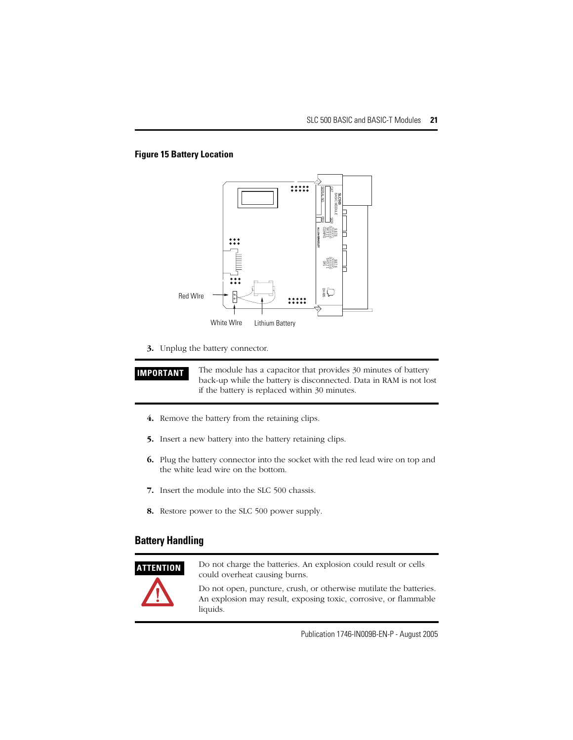## **Figure 15 Battery Location**



**3.** Unplug the battery connector.

**IMPORTANT** The module has a capacitor that provides 30 minutes of battery back-up while the battery is disconnected. Data in RAM is not lost if the battery is replaced within 30 minutes.

- **4.** Remove the battery from the retaining clips.
- **5.** Insert a new battery into the battery retaining clips.
- **6.** Plug the battery connector into the socket with the red lead wire on top and the white lead wire on the bottom.
- **7.** Insert the module into the SLC 500 chassis.
- **8.** Restore power to the SLC 500 power supply.

# **Battery Handling**



**ATTENTION** Do not charge the batteries. An explosion could result or cells could overheat causing burns.

> Do not open, puncture, crush, or otherwise mutilate the batteries. An explosion may result, exposing toxic, corrosive, or flammable liquids.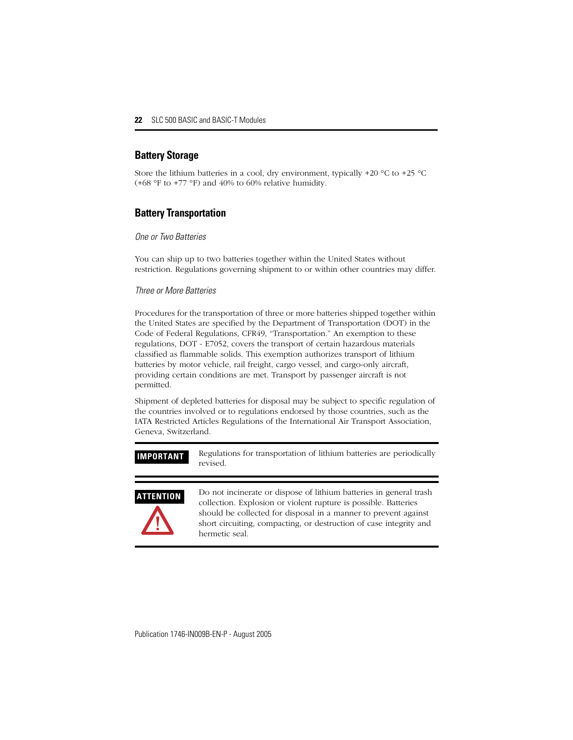## **Battery Storage**

Store the lithium batteries in a cool, dry environment, typically  $+20$  °C to  $+25$  °C  $(+68 \text{ °F to +77 °F})$  and 40% to 60% relative humidity.

## **Battery Transportation**

### *One or Two Batteries*

You can ship up to two batteries together within the United States without restriction. Regulations governing shipment to or within other countries may differ.

### *Three or More Batteries*

Procedures for the transportation of three or more batteries shipped together within the United States are specified by the Department of Transportation (DOT) in the Code of Federal Regulations, CFR49, "Transportation." An exemption to these regulations, DOT - E7052, covers the transport of certain hazardous materials classified as flammable solids. This exemption authorizes transport of lithium batteries by motor vehicle, rail freight, cargo vessel, and cargo-only aircraft, providing certain conditions are met. Transport by passenger aircraft is not permitted.

Shipment of depleted batteries for disposal may be subject to specific regulation of the countries involved or to regulations endorsed by those countries, such as the IATA Restricted Articles Regulations of the International Air Transport Association, Geneva, Switzerland.

**IMPORTANT** Regulations for transportation of lithium batteries are periodically revised.



**ATTENTION** Do not incinerate or dispose of lithium batteries in general trash collection. Explosion or violent rupture is possible. Batteries should be collected for disposal in a manner to prevent against short circuiting, compacting, or destruction of case integrity and hermetic seal.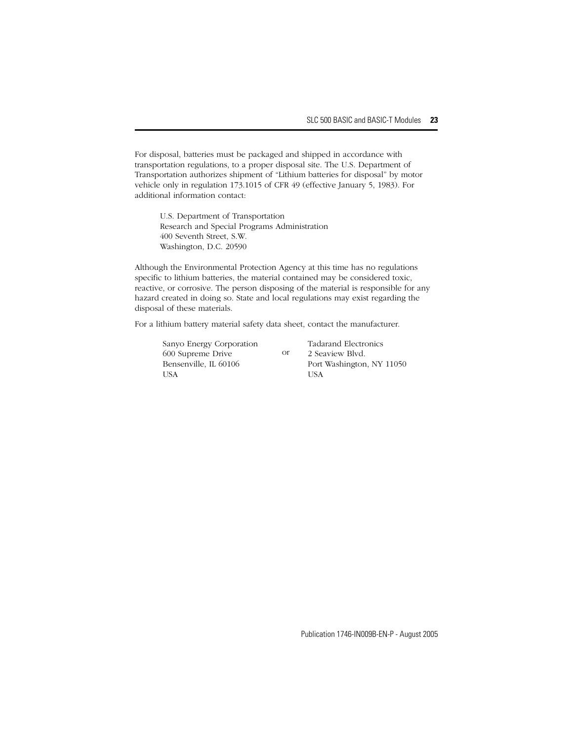For disposal, batteries must be packaged and shipped in accordance with transportation regulations, to a proper disposal site. The U.S. Department of Transportation authorizes shipment of "Lithium batteries for disposal" by motor vehicle only in regulation 173.1015 of CFR 49 (effective January 5, 1983). For additional information contact:

U.S. Department of Transportation Research and Special Programs Administration 400 Seventh Street, S.W. Washington, D.C. 20590

Although the Environmental Protection Agency at this time has no regulations specific to lithium batteries, the material contained may be considered toxic, reactive, or corrosive. The person disposing of the material is responsible for any hazard created in doing so. State and local regulations may exist regarding the disposal of these materials.

or

For a lithium battery material safety data sheet, contact the manufacturer.

Sanyo Energy Corporation 600 Supreme Drive Bensenville, IL 60106 **TISA** 

Tadarand Electronics 2 Seaview Blvd. Port Washington, NY 11050 **TISA**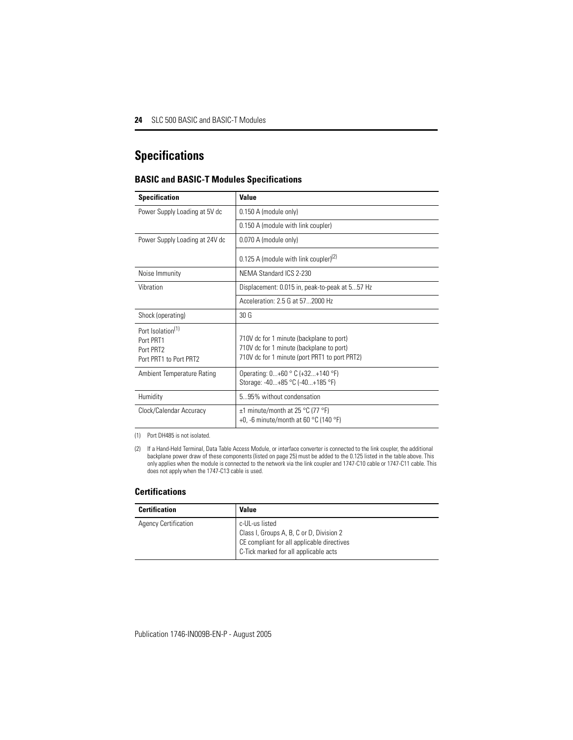# <span id="page-23-0"></span>**Specifications**

### **BASIC and BASIC-T Modules Specifications**

| <b>Specification</b>                                                                          | Value                                                                                                                                 |
|-----------------------------------------------------------------------------------------------|---------------------------------------------------------------------------------------------------------------------------------------|
| Power Supply Loading at 5V dc                                                                 | 0.150 A (module only)                                                                                                                 |
|                                                                                               | 0.150 A (module with link coupler)                                                                                                    |
| Power Supply Loading at 24V dc                                                                | 0.070 A (module only)                                                                                                                 |
|                                                                                               | 0.125 A (module with link coupler) <sup>(2)</sup>                                                                                     |
| Noise Immunity                                                                                | NEMA Standard ICS 2-230                                                                                                               |
| Vibration                                                                                     | Displacement: 0.015 in, peak-to-peak at 557 Hz                                                                                        |
|                                                                                               | Acceleration: 2.5 G at 572000 Hz                                                                                                      |
| Shock (operating)                                                                             | 30 <sub>6</sub>                                                                                                                       |
| Port Isolation <sup>(1)</sup><br>Port PRT1<br>Port PRT <sub>2</sub><br>Port PRT1 to Port PRT2 | 710V dc for 1 minute (backplane to port)<br>710V dc for 1 minute (backplane to port)<br>710V dc for 1 minute (port PRT1 to port PRT2) |
| Ambient Temperature Rating                                                                    | Operating: 0+60 °C (+32+140 °F)<br>Storage: -40+85 °C (-40+185 °F)                                                                    |
| Humidity                                                                                      | 595% without condensation                                                                                                             |
| Clock/Calendar Accuracy                                                                       | $\pm$ 1 minute/month at 25 °C (77 °F)<br>+0, -6 minute/month at 60 $^{\circ}$ C (140 $^{\circ}$ F)                                    |

(1) Port DH485 is not isolated.

(2) If a Hand-Held Terminal, Data Table Access Module, or interface converter is connected to the link coupler, the additional backplane power draw of these components (listed on page [25\)](#page-24-0) must be added to the 0.125 listed in the table above. This only applies when the module is connected to the network via the link coupler and 1747-C10 cable or 1747-C11 cable. This does not apply when the 1747-C13 cable is used.

### **Certifications**

| <b>Certification</b>        | Value                                                                                                                                             |
|-----------------------------|---------------------------------------------------------------------------------------------------------------------------------------------------|
| <b>Agency Certification</b> | c-UL-us listed<br>Class I, Groups A, B, C or D, Division 2<br>CE compliant for all applicable directives<br>C-Tick marked for all applicable acts |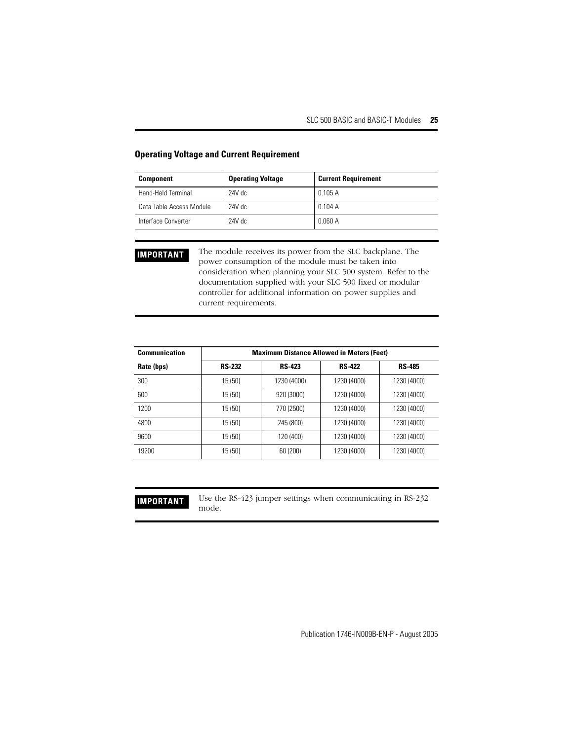| <b>Component</b>         | <b>Operating Voltage</b> | <b>Current Requirement</b> |
|--------------------------|--------------------------|----------------------------|
| Hand-Held Terminal       | $24V$ dc                 | 0.105 A                    |
| Data Table Access Module | 24V dc                   | 0.104A                     |
| Interface Converter      | $24V$ dc                 | 0.060 A                    |

### <span id="page-24-0"></span>**Operating Voltage and Current Requirement**

**IMPORTANT** The module receives its power from the SLC backplane. The power consumption of the module must be taken into consideration when planning your SLC 500 system. Refer to the documentation supplied with your SLC 500 fixed or modular controller for additional information on power supplies and current requirements.

| <b>Communication</b> | <b>Maximum Distance Allowed in Meters (Feet)</b> |               |               |               |
|----------------------|--------------------------------------------------|---------------|---------------|---------------|
| Rate (bps)           | <b>RS-232</b>                                    | <b>RS-423</b> | <b>RS-422</b> | <b>RS-485</b> |
| 300                  | 15(50)                                           | 1230 (4000)   | 1230 (4000)   | 1230 (4000)   |
| 600                  | 15 (50)                                          | 920 (3000)    | 1230 (4000)   | 1230 (4000)   |
| 1200                 | 15(50)                                           | 770 (2500)    | 1230 (4000)   | 1230 (4000)   |
| 4800                 | 15 (50)                                          | 245 (800)     | 1230 (4000)   | 1230 (4000)   |
| 9600                 | 15 (50)                                          | 120 (400)     | 1230 (4000)   | 1230 (4000)   |
| 19200                | 15 (50)                                          | 60 (200)      | 1230 (4000)   | 1230 (4000)   |

**IMPORTANT** Use the RS-423 jumper settings when communicating in RS-232 mode.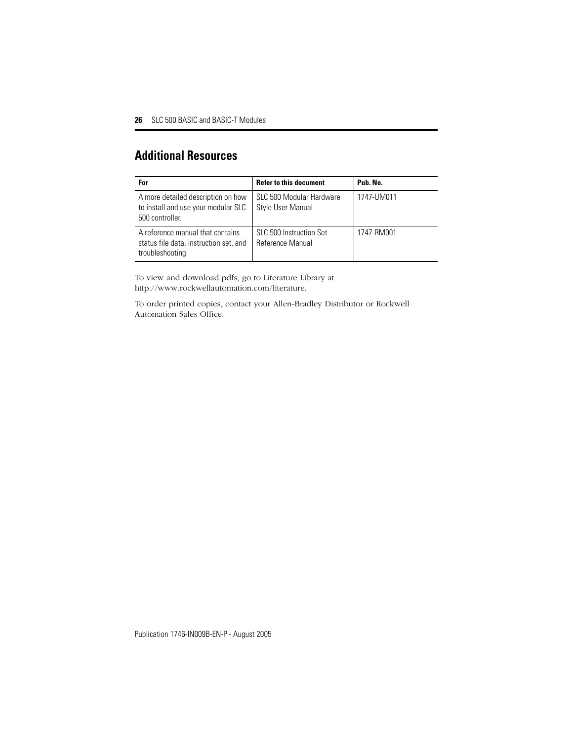# <span id="page-25-0"></span>**Additional Resources**

| For                                                                                            | <b>Refer to this document</b>                      | Pub. No.   |
|------------------------------------------------------------------------------------------------|----------------------------------------------------|------------|
| A more detailed description on how<br>to install and use your modular SLC<br>500 controller.   | SLC 500 Modular Hardware<br>Style User Manual      | 1747-UM011 |
| A reference manual that contains<br>status file data, instruction set, and<br>troubleshooting. | SLC 500 Instruction Set<br><b>Reference Manual</b> | 1747-RM001 |

To view and download pdfs, go to Literature Library at http://www.rockwellautomation.com/literature.

To order printed copies, contact your Allen-Bradley Distributor or Rockwell Automation Sales Office.